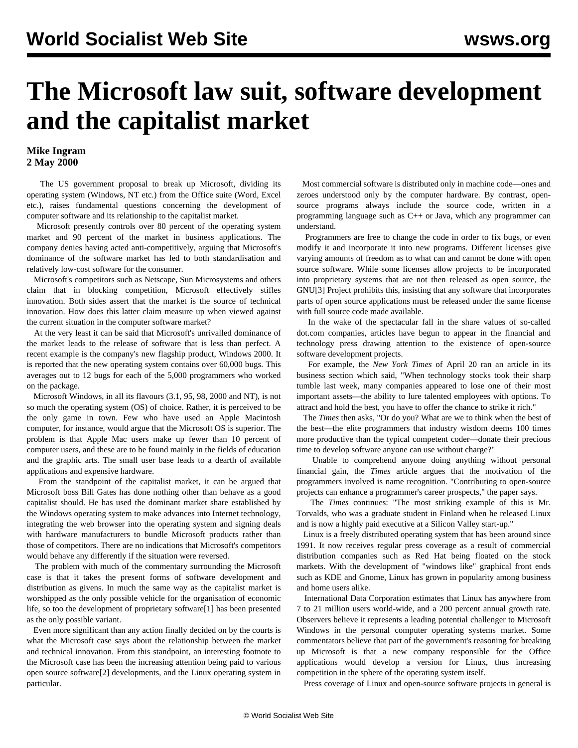## **The Microsoft law suit, software development and the capitalist market**

## **Mike Ingram 2 May 2000**

 The US government proposal to break up Microsoft, dividing its operating system (Windows, NT etc.) from the Office suite (Word, Excel etc.), raises fundamental questions concerning the development of computer software and its relationship to the capitalist market.

 Microsoft presently controls over 80 percent of the operating system market and 90 percent of the market in business applications. The company denies having acted anti-competitively, arguing that Microsoft's dominance of the software market has led to both standardisation and relatively low-cost software for the consumer.

 Microsoft's competitors such as Netscape, Sun Microsystems and others claim that in blocking competition, Microsoft effectively stifles innovation. Both sides assert that the market is the source of technical innovation. How does this latter claim measure up when viewed against the current situation in the computer software market?

 At the very least it can be said that Microsoft's unrivalled dominance of the market leads to the release of software that is less than perfect. A recent example is the company's new flagship product, Windows 2000. It is reported that the new operating system contains over 60,000 bugs. This averages out to 12 bugs for each of the 5,000 programmers who worked on the package.

 Microsoft Windows, in all its flavours (3.1, 95, 98, 2000 and NT), is not so much the operating system (OS) of choice. Rather, it is perceived to be the only game in town. Few who have used an Apple Macintosh computer, for instance, would argue that the Microsoft OS is superior. The problem is that Apple Mac users make up fewer than 10 percent of computer users, and these are to be found mainly in the fields of education and the graphic arts. The small user base leads to a dearth of available applications and expensive hardware.

 From the standpoint of the capitalist market, it can be argued that Microsoft boss Bill Gates has done nothing other than behave as a good capitalist should. He has used the dominant market share established by the Windows operating system to make advances into Internet technology, integrating the web browser into the operating system and signing deals with hardware manufacturers to bundle Microsoft products rather than those of competitors. There are no indications that Microsoft's competitors would behave any differently if the situation were reversed.

 The problem with much of the commentary surrounding the Microsoft case is that it takes the present forms of software development and distribution as givens. In much the same way as the capitalist market is worshipped as the only possible vehicle for the organisation of economic life, so too the development of proprietary software[1] has been presented as the only possible variant.

 Even more significant than any action finally decided on by the courts is what the Microsoft case says about the relationship between the market and technical innovation. From this standpoint, an interesting footnote to the Microsoft case has been the increasing attention being paid to various open source software[2] developments, and the Linux operating system in particular.

 Most commercial software is distributed only in machine code—ones and zeroes understood only by the computer hardware. By contrast, opensource programs always include the source code, written in a programming language such as C++ or Java, which any programmer can understand.

 Programmers are free to change the code in order to fix bugs, or even modify it and incorporate it into new programs. Different licenses give varying amounts of freedom as to what can and cannot be done with open source software. While some licenses allow projects to be incorporated into proprietary systems that are not then released as open source, the GNU[3] Project prohibits this, insisting that any software that incorporates parts of open source applications must be released under the same license with full source code made available.

 In the wake of the spectacular fall in the share values of so-called dot.com companies, articles have begun to appear in the financial and technology press drawing attention to the existence of open-source software development projects.

 For example, the *New York Times* of April 20 ran an article in its business section which said, "When technology stocks took their sharp tumble last week, many companies appeared to lose one of their most important assets—the ability to lure talented employees with options. To attract and hold the best, you have to offer the chance to strike it rich."

 The *Times* then asks, "Or do you? What are we to think when the best of the best—the elite programmers that industry wisdom deems 100 times more productive than the typical competent coder—donate their precious time to develop software anyone can use without charge?"

 Unable to comprehend anyone doing anything without personal financial gain, the *Times* article argues that the motivation of the programmers involved is name recognition. "Contributing to open-source projects can enhance a programmer's career prospects," the paper says.

 The *Times* continues: "The most striking example of this is Mr. Torvalds, who was a graduate student in Finland when he released Linux and is now a highly paid executive at a Silicon Valley start-up."

 Linux is a freely distributed operating system that has been around since 1991. It now receives regular press coverage as a result of commercial distribution companies such as Red Hat being floated on the stock markets. With the development of "windows like" graphical front ends such as KDE and Gnome, Linux has grown in popularity among business and home users alike.

 International Data Corporation estimates that Linux has anywhere from 7 to 21 million users world-wide, and a 200 percent annual growth rate. Observers believe it represents a leading potential challenger to Microsoft Windows in the personal computer operating systems market. Some commentators believe that part of the government's reasoning for breaking up Microsoft is that a new company responsible for the Office applications would develop a version for Linux, thus increasing competition in the sphere of the operating system itself.

Press coverage of Linux and open-source software projects in general is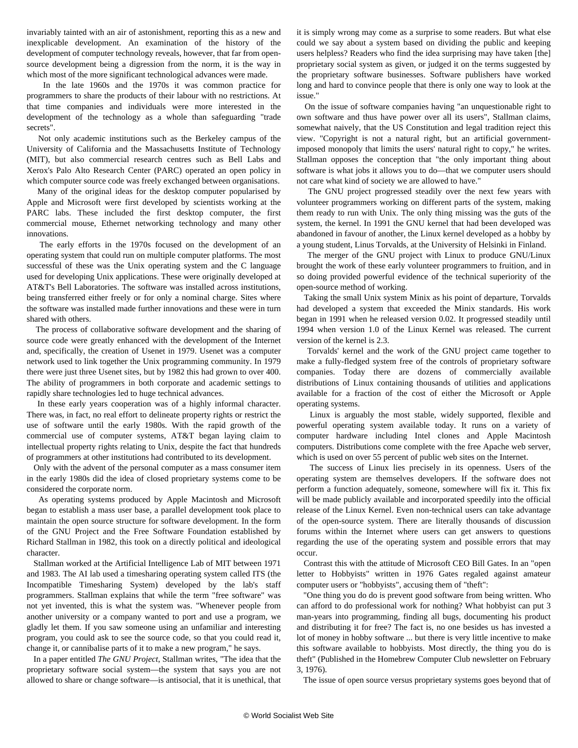invariably tainted with an air of astonishment, reporting this as a new and inexplicable development. An examination of the history of the development of computer technology reveals, however, that far from opensource development being a digression from the norm, it is the way in which most of the more significant technological advances were made.

 In the late 1960s and the 1970s it was common practice for programmers to share the products of their labour with no restrictions. At that time companies and individuals were more interested in the development of the technology as a whole than safeguarding "trade secrets".

 Not only academic institutions such as the Berkeley campus of the University of California and the Massachusetts Institute of Technology (MIT), but also commercial research centres such as Bell Labs and Xerox's Palo Alto Research Center (PARC) operated an open policy in which computer source code was freely exchanged between organisations.

 Many of the original ideas for the desktop computer popularised by Apple and Microsoft were first developed by scientists working at the PARC labs. These included the first desktop computer, the first commercial mouse, Ethernet networking technology and many other innovations.

 The early efforts in the 1970s focused on the development of an operating system that could run on multiple computer platforms. The most successful of these was the Unix operating system and the C language used for developing Unix applications. These were originally developed at AT&T's Bell Laboratories. The software was installed across institutions, being transferred either freely or for only a nominal charge. Sites where the software was installed made further innovations and these were in turn shared with others.

 The process of collaborative software development and the sharing of source code were greatly enhanced with the development of the Internet and, specifically, the creation of Usenet in 1979. Usenet was a computer network used to link together the Unix programming community. In 1979 there were just three Usenet sites, but by 1982 this had grown to over 400. The ability of programmers in both corporate and academic settings to rapidly share technologies led to huge technical advances.

 In these early years cooperation was of a highly informal character. There was, in fact, no real effort to delineate property rights or restrict the use of software until the early 1980s. With the rapid growth of the commercial use of computer systems, AT&T began laying claim to intellectual property rights relating to Unix, despite the fact that hundreds of programmers at other institutions had contributed to its development.

 Only with the advent of the personal computer as a mass consumer item in the early 1980s did the idea of closed proprietary systems come to be considered the corporate norm.

 As operating systems produced by Apple Macintosh and Microsoft began to establish a mass user base, a parallel development took place to maintain the open source structure for software development. In the form of the GNU Project and the Free Software Foundation established by Richard Stallman in 1982, this took on a directly political and ideological character.

 Stallman worked at the Artificial Intelligence Lab of MIT between 1971 and 1983. The AI lab used a timesharing operating system called ITS (the Incompatible Timesharing System) developed by the lab's staff programmers. Stallman explains that while the term "free software" was not yet invented, this is what the system was. "Whenever people from another university or a company wanted to port and use a program, we gladly let them. If you saw someone using an unfamiliar and interesting program, you could ask to see the source code, so that you could read it, change it, or cannibalise parts of it to make a new program," he says.

 In a paper entitled *The GNU Project*, Stallman writes, "The idea that the proprietary software social system—the system that says you are not allowed to share or change software—is antisocial, that it is unethical, that it is simply wrong may come as a surprise to some readers. But what else could we say about a system based on dividing the public and keeping users helpless? Readers who find the idea surprising may have taken [the] proprietary social system as given, or judged it on the terms suggested by the proprietary software businesses. Software publishers have worked long and hard to convince people that there is only one way to look at the issue."

 On the issue of software companies having "an unquestionable right to own software and thus have power over all its users", Stallman claims, somewhat naively, that the US Constitution and legal tradition reject this view. "Copyright is not a natural right, but an artificial governmentimposed monopoly that limits the users' natural right to copy," he writes. Stallman opposes the conception that "the only important thing about software is what jobs it allows you to do—that we computer users should not care what kind of society we are allowed to have."

 The GNU project progressed steadily over the next few years with volunteer programmers working on different parts of the system, making them ready to run with Unix. The only thing missing was the guts of the system, the kernel. In 1991 the GNU kernel that had been developed was abandoned in favour of another, the Linux kernel developed as a hobby by a young student, Linus Torvalds, at the University of Helsinki in Finland.

 The merger of the GNU project with Linux to produce GNU/Linux brought the work of these early volunteer programmers to fruition, and in so doing provided powerful evidence of the technical superiority of the open-source method of working.

 Taking the small Unix system Minix as his point of departure, Torvalds had developed a system that exceeded the Minix standards. His work began in 1991 when he released version 0.02. It progressed steadily until 1994 when version 1.0 of the Linux Kernel was released. The current version of the kernel is 2.3.

 Torvalds' kernel and the work of the GNU project came together to make a fully-fledged system free of the controls of proprietary software companies. Today there are dozens of commercially available distributions of Linux containing thousands of utilities and applications available for a fraction of the cost of either the Microsoft or Apple operating systems.

 Linux is arguably the most stable, widely supported, flexible and powerful operating system available today. It runs on a variety of computer hardware including Intel clones and Apple Macintosh computers. Distributions come complete with the free Apache web server, which is used on over 55 percent of public web sites on the Internet.

 The success of Linux lies precisely in its openness. Users of the operating system are themselves developers. If the software does not perform a function adequately, someone, somewhere will fix it. This fix will be made publicly available and incorporated speedily into the official release of the Linux Kernel. Even non-technical users can take advantage of the open-source system. There are literally thousands of discussion forums within the Internet where users can get answers to questions regarding the use of the operating system and possible errors that may occur.

 Contrast this with the attitude of Microsoft CEO Bill Gates. In an "open letter to Hobbyists" written in 1976 Gates regaled against amateur computer users or "hobbyists", accusing them of "theft":

 "One thing you do do is prevent good software from being written. Who can afford to do professional work for nothing? What hobbyist can put 3 man-years into programming, finding all bugs, documenting his product and distributing it for free? The fact is, no one besides us has invested a lot of money in hobby software ... but there is very little incentive to make this software available to hobbyists. Most directly, the thing you do is theft" (Published in the Homebrew Computer Club newsletter on February 3, 1976).

The issue of open source versus proprietary systems goes beyond that of